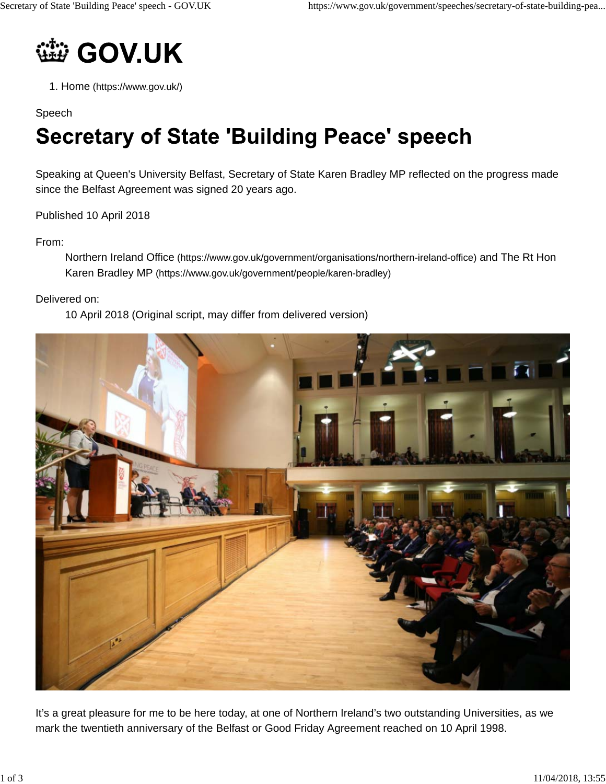

1. Home (https://www.gov.uk/)

## Speech

# **Secretary of State 'Building Peace' speech**

Speaking at Queen's University Belfast, Secretary of State Karen Bradley MP reflected on the progress made since the Belfast Agreement was signed 20 years ago.

Published 10 April 2018

## From:

Northern Ireland Office (https://www.gov.uk/government/organisations/northern-ireland-office) and The Rt Hon Karen Bradley MP (https://www.gov.uk/government/people/karen-bradley)

#### Delivered on:

10 April 2018 (Original script, may differ from delivered version)



It's a great pleasure for me to be here today, at one of Northern Ireland's two outstanding Universities, as we mark the twentieth anniversary of the Belfast or Good Friday Agreement reached on 10 April 1998.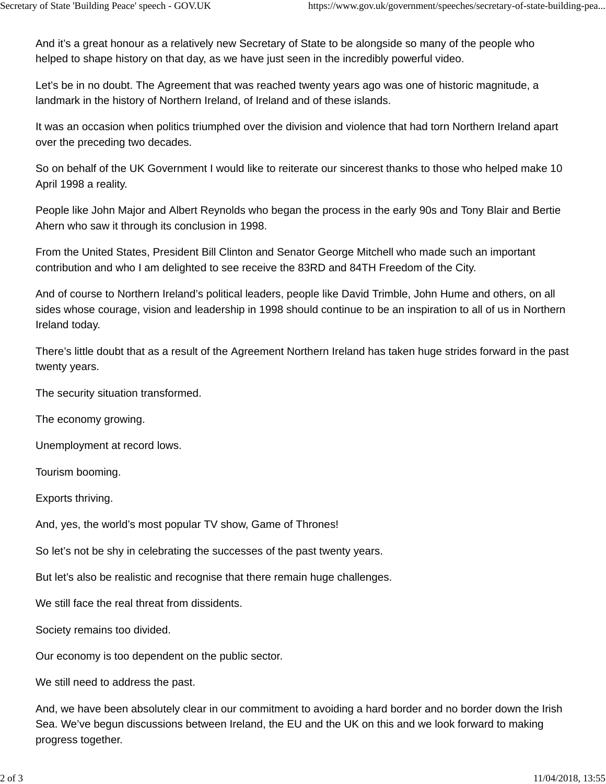And it's a great honour as a relatively new Secretary of State to be alongside so many of the people who helped to shape history on that day, as we have just seen in the incredibly powerful video.

Let's be in no doubt. The Agreement that was reached twenty years ago was one of historic magnitude, a landmark in the history of Northern Ireland, of Ireland and of these islands.

It was an occasion when politics triumphed over the division and violence that had torn Northern Ireland apart over the preceding two decades.

So on behalf of the UK Government I would like to reiterate our sincerest thanks to those who helped make 10 April 1998 a reality.

People like John Major and Albert Reynolds who began the process in the early 90s and Tony Blair and Bertie Ahern who saw it through its conclusion in 1998.

From the United States, President Bill Clinton and Senator George Mitchell who made such an important contribution and who I am delighted to see receive the 83RD and 84TH Freedom of the City.

And of course to Northern Ireland's political leaders, people like David Trimble, John Hume and others, on all sides whose courage, vision and leadership in 1998 should continue to be an inspiration to all of us in Northern Ireland today.

There's little doubt that as a result of the Agreement Northern Ireland has taken huge strides forward in the past twenty years.

The security situation transformed.

The economy growing.

Unemployment at record lows.

Tourism booming.

Exports thriving.

And, yes, the world's most popular TV show, Game of Thrones!

So let's not be shy in celebrating the successes of the past twenty years.

But let's also be realistic and recognise that there remain huge challenges.

We still face the real threat from dissidents.

Society remains too divided.

Our economy is too dependent on the public sector.

We still need to address the past.

And, we have been absolutely clear in our commitment to avoiding a hard border and no border down the Irish Sea. We've begun discussions between Ireland, the EU and the UK on this and we look forward to making progress together.